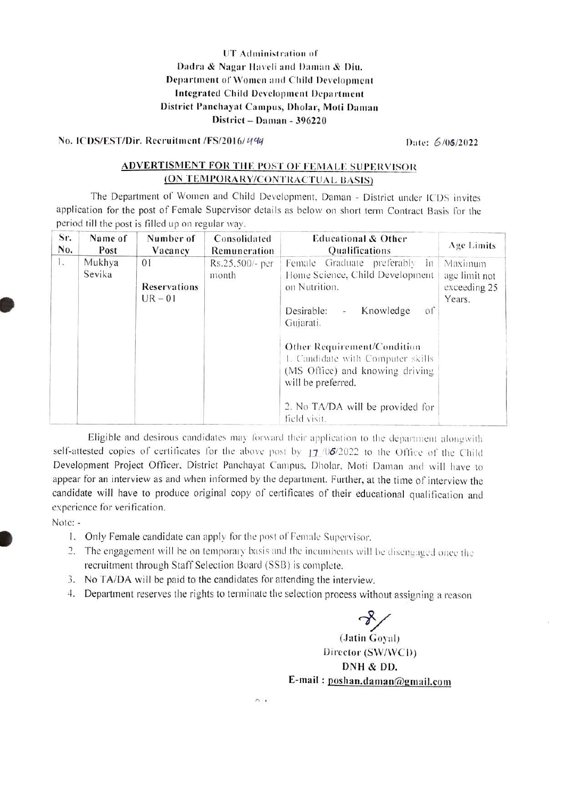### UT Administration of Dadra & Nagar Haveli and Daman & Diu. Department of Women and Child Development Integrated Child Development Department District Panchayat Campus, Dholar, Moti Daman District - Daman - 396220

No. ICDS/EST/Dir. Recruitment /FS/2016/499

Date: 6/06/2022

### **ADVERTISMENT FOR THE POST OF FEMALE SUPERVISOR** (ON TEMPORARY/CONTRACTUAL BASIS)

The Department of Women and Child Development, Daman - District under ICDS invites application for the post of Female Supervisor details as below on short term Contract Basis for the period till the post is filled up on regular way.

| Sr. | Name of          | Number of                              | Consolidated             | <b>Educational &amp; Other</b>                                                                                                                                                                                                                                                                                                       | Age Limits                                         |
|-----|------------------|----------------------------------------|--------------------------|--------------------------------------------------------------------------------------------------------------------------------------------------------------------------------------------------------------------------------------------------------------------------------------------------------------------------------------|----------------------------------------------------|
| No. | Post             | Vacancy                                | Remuneration             | Qualifications                                                                                                                                                                                                                                                                                                                       |                                                    |
| Ι.  | Mukhya<br>Sevika | 01<br><b>Reservations</b><br>$UR - 01$ | Rs.25,500/- per<br>month | Female Graduate preferably<br>$\mathbf{m}$<br>Home Science, Child Development<br>on Nutrition.<br>Knowledge<br>$\circ$ f<br>Desirable:<br>Gujarati.<br>Other Requirement/Condition<br>1. Candidate with Computer skills<br>(MS Office) and knowing driving<br>will be preferred.<br>2. No TA/DA will be provided for<br>field visit. | Maximum<br>age limit not<br>exceeding 25<br>Years. |

Eligible and desirous candidates may forward their application to the department alongwith self-attested copies of certificates for the above post by 17 /06/2022 to the Office of the Child Development Project Officer, District Panchayat Campus, Dholar, Moti Daman and will have to appear for an interview as and when informed by the department. Further, at the time of interview the candidate will have to produce original copy of certificates of their educational qualification and experience for verification.

Note: -

- 1. Only Female candidate can apply for the post of Female Supervisor.
- 2. The engagement will be on temporary basis and the incumbents will be disengaged once the recruitment through Staff Selection Board (SSB) is complete.
- 3. No TA/DA will be paid to the candidates for attending the interview.
- 4. Department reserves the rights to terminate the selection process without assigning a reason

(Jatin Goyal)

Director (SW/WCD) DNH & DD. E-mail: poshan.daman@gmail.com

 $\wedge$ .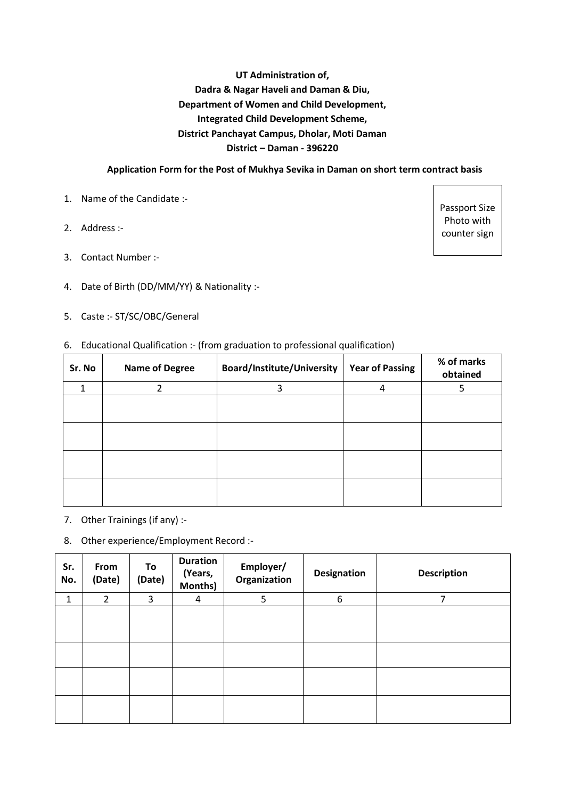# **UT Administration of, Dadra & Nagar Haveli and Daman & Diu, Department of Women and Child Development, Integrated Child Development Scheme, District Panchayat Campus, Dholar, Moti Daman District – Daman - 396220**

### **Application Form for the Post of Mukhya Sevika in Daman on short term contract basis**

- 1. Name of the Candidate :-
- 2. Address :-
- 3. Contact Number :-
- 4. Date of Birth (DD/MM/YY) & Nationality :-
- 5. Caste :- ST/SC/OBC/General

#### 6. Educational Qualification :- (from graduation to professional qualification)

| Sr. No | <b>Name of Degree</b>   | <b>Board/Institute/University</b> | <b>Year of Passing</b> | % of marks<br>obtained |
|--------|-------------------------|-----------------------------------|------------------------|------------------------|
| 1      | $\overline{\mathbf{c}}$ | 3                                 | 4                      | 5                      |
|        |                         |                                   |                        |                        |
|        |                         |                                   |                        |                        |
|        |                         |                                   |                        |                        |
|        |                         |                                   |                        |                        |

- 7. Other Trainings (if any) :-
- 8. Other experience/Employment Record :-

| Sr.<br>No. | From<br>(Date) | To<br>(Date) | <b>Duration</b><br>(Years,<br>Months) | Employer/<br>Organization | <b>Designation</b> | <b>Description</b> |
|------------|----------------|--------------|---------------------------------------|---------------------------|--------------------|--------------------|
| 1          | $\overline{2}$ | 3            | 4                                     | 5                         | 6                  | 7                  |
|            |                |              |                                       |                           |                    |                    |
|            |                |              |                                       |                           |                    |                    |
|            |                |              |                                       |                           |                    |                    |
|            |                |              |                                       |                           |                    |                    |

Passport Size Photo with counter sign